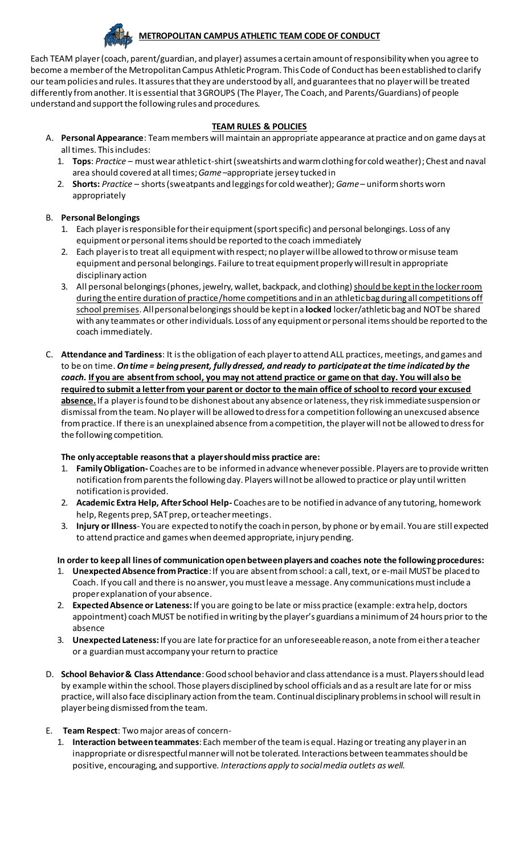

# **METROPOLITAN CAMPUS ATHLETIC TEAM CODE OF CONDUCT**

Each TEAM player(coach, parent/guardian, and player) assumes a certain amount of responsibility when you agree to become a member of the Metropolitan Campus Athletic Program. This Code of Conduct has been established to clarify our team policies and rules. It assures that they are understood by all, and guarantees that no player will be treated differently from another. It is essential that 3 GROUPS (The Player, The Coach, and Parents/Guardians) of people understand and support the following rules and procedures.

#### **TEAM RULES & POLICIES**

- A. **Personal Appearance**: Team members will maintain an appropriate appearance at practice and on game days at all times. This includes:
	- 1. **Tops**: *Practice* must wear athletic t-shirt (sweatshirts and warm clothing for cold weather); Chest and naval area should covered at all times; *Game* –appropriate jersey tucked in
	- 2. **Shorts:** *Practice* shorts (sweatpants and leggings for cold weather); *Game* uniform shorts worn appropriately

#### B. **Personal Belongings**

- 1. Each player is responsible for their equipment (sport specific) and personal belongings. Loss of any equipment or personal items should be reported to the coach immediately
- 2. Each player is to treat all equipment with respect; no player will be allowed to throw or misuse team equipment and personal belongings. Failure to treat equipment properly will result in appropriate disciplinary action
- 3. All personal belongings (phones, jewelry, wallet, backpack, and clothing) should be kept in the locker room during the entire duration of practice/home competitions and in an athletic bag during all competitions off school premises. All personal belongings should be kept in a **locked** locker/athletic bag and NOT be shared with any teammates or other individuals. Loss of any equipment or personal items should be reported to the coach immediately.
- C. **Attendance and Tardiness**: It is the obligation of each player to attend ALL practices, meetings, and games and to be on time. *On time = being present, fully dressed, and ready to participate at the time indicated by the coach.* **If you are absent from school, you may not attend practice or game on that day. You will also be required to submit a letter from your parent or doctor to the main office of school to record your excused absence.** If a player is found to be dishonest about any absence or lateness, they risk immediate suspension or dismissal from the team. No player will be allowed to dress for a competition following an unexcused absence from practice. If there is an unexplained absence from a competition, the player will not be allowed to dress for the following competition.

### **The only acceptable reasons that a player should miss practice are:**

- 1. **Family Obligation-** Coaches are to be informed in advance whenever possible. Players are to provide written notification from parents the following day. Players will not be allowed to practice or play until written notification is provided.
- 2. **Academic Extra Help, After School Help-** Coaches are to be notified in advance of any tutoring, homework help, Regents prep, SAT prep, or teacher meetings.
- 3. **Injury or Illness** You are expected to notify the coach in person, by phone or by email. You are still expected to attend practice and games when deemed appropriate, injury pending.

### **In order to keep all lines of communication open between players and coaches note the following procedures:**

- 1. **Unexpected Absence from Practice**: If you are absent from school: a call, text, or e-mail MUST be placed to Coach. If you call and there is no answer, you must leave a message. Any communications must include a proper explanation of your absence.
- 2. **Expected Absence or Lateness:** If you are going to be late or miss practice (example: extra help, doctors appointment) coach MUST be notified in writing by the player's guardians a minimum of 24 hours prior to the absence
- 3. **Unexpected Lateness:** If you are late for practice for an unforeseeable reason, a note from either a teacher or a guardian must accompany your return to practice
- D. **School Behavior & Class Attendance**: Good school behavior and class attendance is a must. Players should lead by example within the school. Those players disciplined by school officials and as a result are late for or miss practice, will also face disciplinary action from the team. Continual disciplinary problems in school will result in player being dismissed from the team.

### E. **Team Respect**: Two major areas of concern-

1. **Interaction between teammates**: Each member of the team is equal. Hazing or treating any player in an inappropriate or disrespectful manner will not be tolerated. Interactions between teammates should be positive, encouraging, and supportive. *Interactions apply to social media outlets as well.*